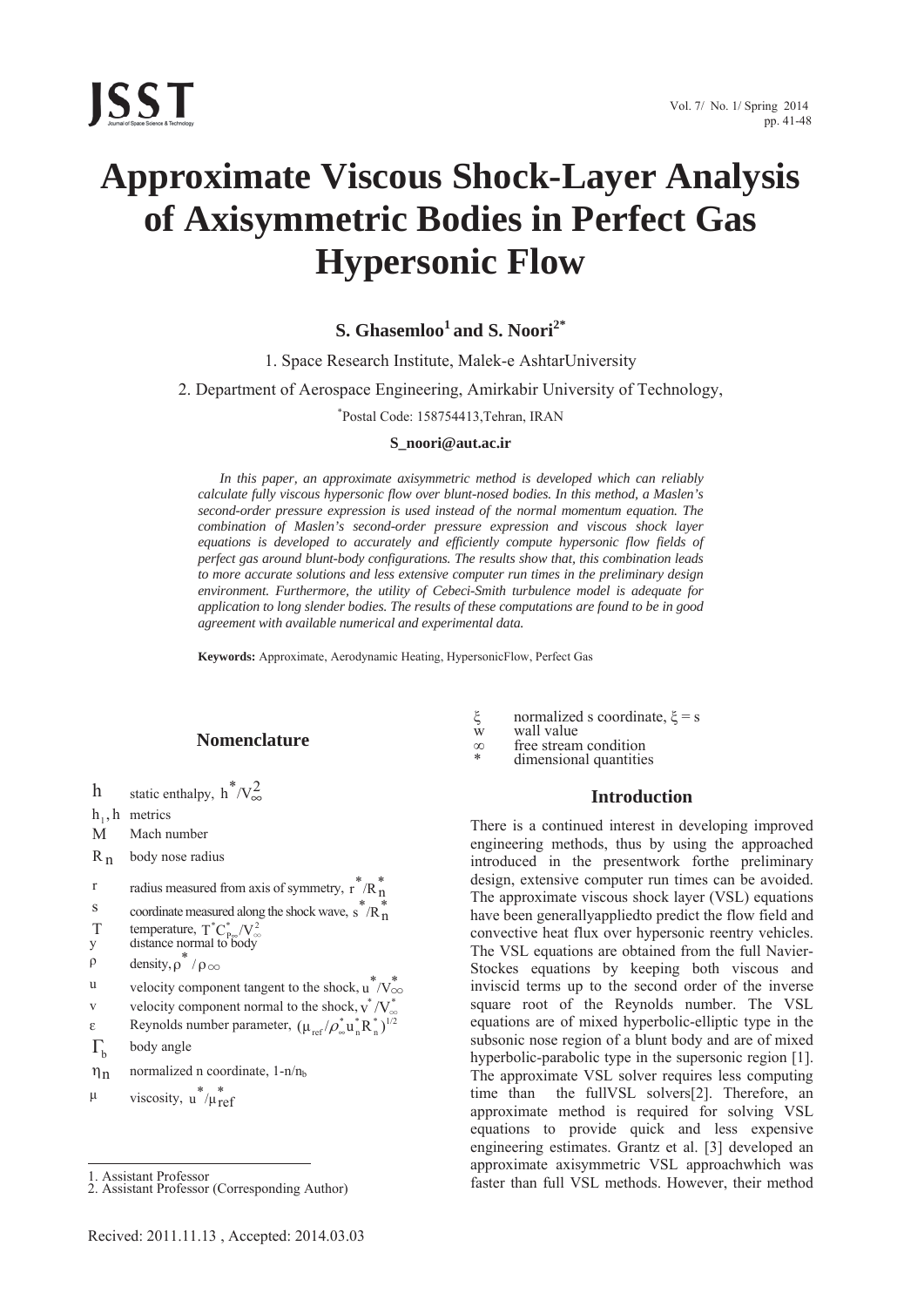**ISST** 

# **Approximate Viscous Shock-Layer Analysis of Axisymmetric Bodies in Perfect Gas Hypersonic Flow**

## **S. Ghasemloo<sup>1</sup> and S. Noori2\***

1. Space Research Institute, Malek-e AshtarUniversity

2. Department of Aerospace Engineering, Amirkabir University of Technology,

\* Postal Code: 158754413,Tehran, IRAN

#### **S\_noori@aut.ac.ir**

*In this paper, an approximate axisymmetric method is developed which can reliably calculate fully viscous hypersonic flow over blunt-nosed bodies. In this method, a Maslen's second-order pressure expression is used instead of the normal momentum equation. The combination of Maslen's second-order pressure expression and viscous shock layer equations is developed to accurately and efficiently compute hypersonic flow fields of perfect gas around blunt-body configurations. The results show that, this combination leads to more accurate solutions and less extensive computer run times in the preliminary design environment. Furthermore, the utility of Cebeci-Smith turbulence model is adequate for application to long slender bodies. The results of these computations are found to be in good agreement with available numerical and experimental data.* 

**Keywords:** Approximate, Aerodynamic Heating, HypersonicFlow, Perfect Gas

### **Nomenclature**

h static enthalpy,  $h^*/v_\infty^2$ 

 $h_1$ , h metrics

M Mach number

 $R_n$  body nose radius

$$
r
$$
 radius measured from axis of symmetry,  $r^*/R_n^*$ 

$$
S \qquad \text{coordinate measured along the shock wave, } s^* / R^*_n
$$

T temperature,  $T^*C^*_{P\infty}/V^2_{\infty}$ 

- y distance normal to body
- $\rho$  density,  $\rho^* / \rho_{\infty}$
- u velocity component tangent to the shock,  $u^*/V^*_{\infty}$
- v velocity component normal to the shock,  $v^*/V^*_{\infty}$
- $\varepsilon$  Reynolds number parameter,  $(\mu_{ref}/\rho_{\infty}^* u_n^* R_n^*)^{1/2}$
- $\Gamma_{\rm b}$  body angle
- $\eta_n$  normalized n coordinate, 1-n/n<sub>b</sub>

 $\mu$  viscosity,  $u^*/\mu_{ref}^*$ 

1. Assistant Professor

 $\overline{a}$ 

- $\xi$  normalized s coordinate,  $\xi$  = s<br>w wall value
- 
- $\infty$  free stream condition<br>  $*$  dimensional quantities

#### **Introduction**

There is a continued interest in developing improved engineering methods, thus by using the approached introduced in the presentwork forthe preliminary design, extensive computer run times can be avoided. The approximate viscous shock layer (VSL) equations have been generallyappliedto predict the flow field and convective heat flux over hypersonic reentry vehicles. The VSL equations are obtained from the full Navier-Stockes equations by keeping both viscous and inviscid terms up to the second order of the inverse square root of the Reynolds number. The VSL equations are of mixed hyperbolic-elliptic type in the subsonic nose region of a blunt body and are of mixed hyperbolic-parabolic type in the supersonic region [1]. The approximate VSL solver requires less computing time than the fullVSL solvers[2]. Therefore, an approximate method is required for solving VSL equations to provide quick and less expensive engineering estimates. Grantz et al. [3] developed an approximate axisymmetric VSL approachwhich was faster than full VSL methods. However, their method

<sup>2.</sup> Assistant Professor (Corresponding Author)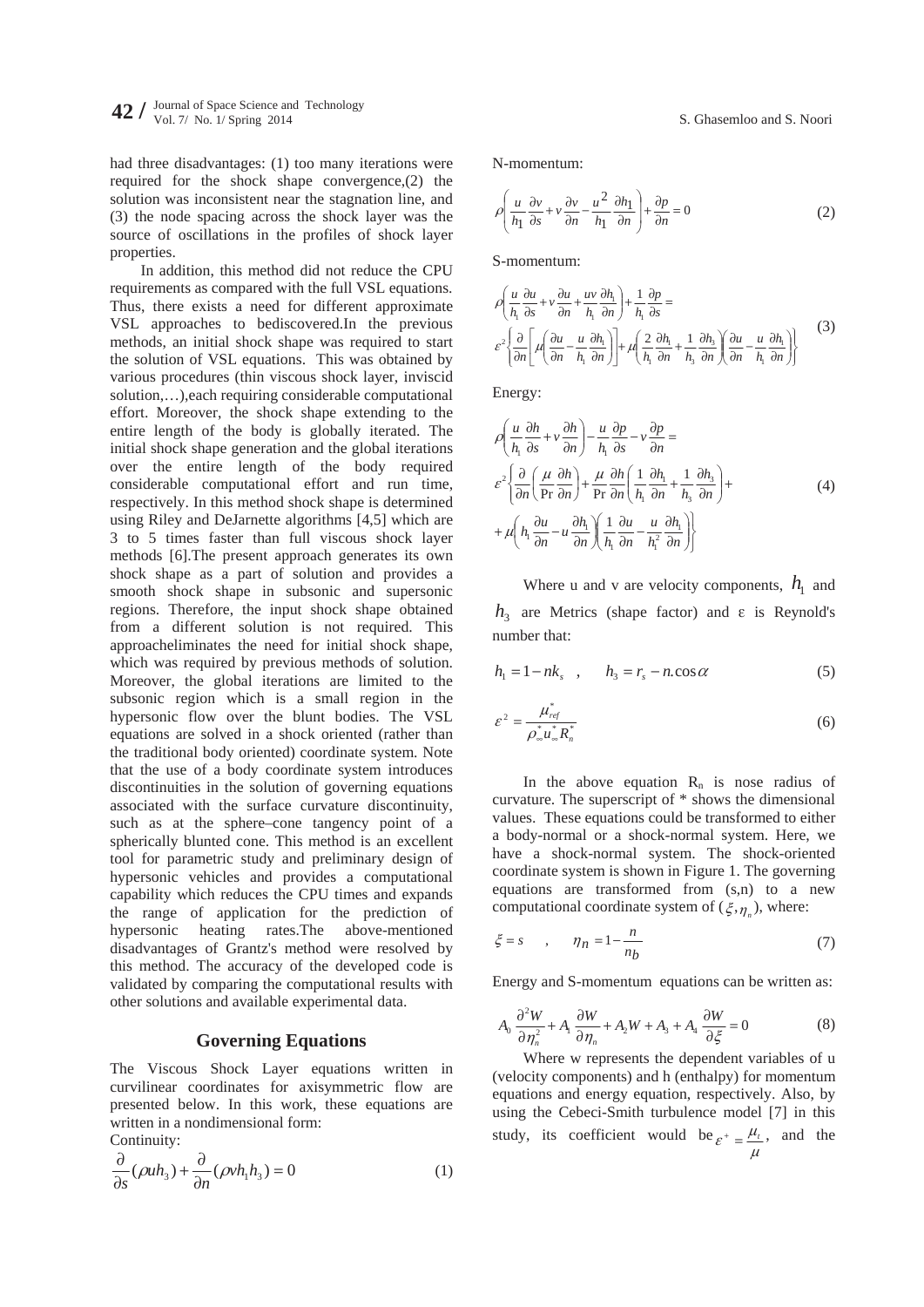had three disadvantages: (1) too many iterations were required for the shock shape convergence,(2) the solution was inconsistent near the stagnation line, and (3) the node spacing across the shock layer was the source of oscillations in the profiles of shock layer properties.

In addition, this method did not reduce the CPU requirements as compared with the full VSL equations. Thus, there exists a need for different approximate VSL approaches to bediscovered.In the previous methods, an initial shock shape was required to start the solution of VSL equations. This was obtained by various procedures (thin viscous shock layer, inviscid solution,…),each requiring considerable computational effort. Moreover, the shock shape extending to the entire length of the body is globally iterated. The initial shock shape generation and the global iterations over the entire length of the body required considerable computational effort and run time, respectively. In this method shock shape is determined using Riley and DeJarnette algorithms [4,5] which are 3 to 5 times faster than full viscous shock layer methods [6].The present approach generates its own shock shape as a part of solution and provides a smooth shock shape in subsonic and supersonic regions. Therefore, the input shock shape obtained from a different solution is not required. This approacheliminates the need for initial shock shape, which was required by previous methods of solution. Moreover, the global iterations are limited to the subsonic region which is a small region in the hypersonic flow over the blunt bodies. The VSL equations are solved in a shock oriented (rather than the traditional body oriented) coordinate system. Note that the use of a body coordinate system introduces discontinuities in the solution of governing equations associated with the surface curvature discontinuity, such as at the sphere–cone tangency point of a spherically blunted cone. This method is an excellent tool for parametric study and preliminary design of hypersonic vehicles and provides a computational capability which reduces the CPU times and expands the range of application for the prediction of hypersonic heating rates.The above-mentioned disadvantages of Grantz's method were resolved by this method. The accuracy of the developed code is validated by comparing the computational results with other solutions and available experimental data.

#### **Governing Equations**

The Viscous Shock Layer equations written in curvilinear coordinates for axisymmetric flow are presented below. In this work, these equations are written in a nondimensional form: Continuity:

$$
\frac{\partial}{\partial s}(\rho uh_3) + \frac{\partial}{\partial n}(\rho v h_1 h_3) = 0
$$
\n(1)

N-momentum:

$$
\rho \left( \frac{u}{h_1} \frac{\partial v}{\partial s} + v \frac{\partial v}{\partial n} - \frac{u^2}{h_1} \frac{\partial h_1}{\partial n} \right) + \frac{\partial p}{\partial n} = 0
$$
\n(2)

S-momentum:

$$
\rho \left( \frac{u}{h_1} \frac{\partial u}{\partial s} + v \frac{\partial u}{\partial n} + \frac{uv}{h_1} \frac{\partial h_1}{\partial n} \right) + \frac{1}{h_1} \frac{\partial p}{\partial s} =
$$
\n
$$
\varepsilon^2 \left\{ \frac{\partial}{\partial n} \left[ \mu \left( \frac{\partial u}{\partial n} - \frac{u}{h_1} \frac{\partial h_1}{\partial n} \right) \right] + \mu \left( \frac{2}{h_1} \frac{\partial h_1}{\partial n} + \frac{1}{h_3} \frac{\partial h_3}{\partial n} \right) \left( \frac{\partial u}{\partial n} - \frac{u}{h_1} \frac{\partial h_1}{\partial n} \right) \right\}
$$
\n(3)

Energy:

$$
\rho \left( \frac{u}{h_1} \frac{\partial h}{\partial s} + v \frac{\partial h}{\partial n} \right) - \frac{u}{h_1} \frac{\partial p}{\partial s} - v \frac{\partial p}{\partial n} =
$$
\n
$$
\varepsilon^2 \left\{ \frac{\partial}{\partial n} \left( \frac{\mu}{\text{Pr}} \frac{\partial h}{\partial n} \right) + \frac{\mu}{\text{Pr}} \frac{\partial h}{\partial n} \left( \frac{1}{h_1} \frac{\partial h_1}{\partial n} + \frac{1}{h_3} \frac{\partial h_3}{\partial n} \right) +
$$
\n
$$
+ \mu \left( h_1 \frac{\partial u}{\partial n} - u \frac{\partial h_1}{\partial n} \right) \left( \frac{1}{h_1} \frac{\partial u}{\partial n} - \frac{u}{h_1^2} \frac{\partial h_1}{\partial n} \right) \right\}
$$
\n(4)

Where u and v are velocity components,  $h_1$  and  $h_3$  are Metrics (shape factor) and  $\varepsilon$  is Reynold's number that:

$$
h_1 = 1 - nk_s \quad , \qquad h_3 = r_s - n \cos \alpha \tag{5}
$$

$$
\varepsilon^2 = \frac{\mu_{ref}^*}{\rho_{\infty}^* u_{\infty}^* R_n^*}
$$
 (6)

In the above equation  $R_n$  is nose radius of curvature. The superscript of \* shows the dimensional values. These equations could be transformed to either a body-normal or a shock-normal system. Here, we have a shock-normal system. The shock-oriented coordinate system is shown in Figure 1. The governing equations are transformed from (s,n) to a new computational coordinate system of  $(\xi, \eta)$ , where:

$$
\xi = s \qquad , \qquad \eta_n = 1 - \frac{n}{n_b} \tag{7}
$$

Energy and S-momentum equations can be written as:

$$
A_0 \frac{\partial^2 W}{\partial \eta_n^2} + A_1 \frac{\partial W}{\partial \eta_n} + A_2 W + A_3 + A_4 \frac{\partial W}{\partial \xi} = 0
$$
 (8)

Where w represents the dependent variables of u (velocity components) and h (enthalpy) for momentum equations and energy equation, respectively. Also, by using the Cebeci-Smith turbulence model [7] in this study, its coefficient would be  $\varepsilon^+ = \frac{\mu_t}{\mu}$ , and the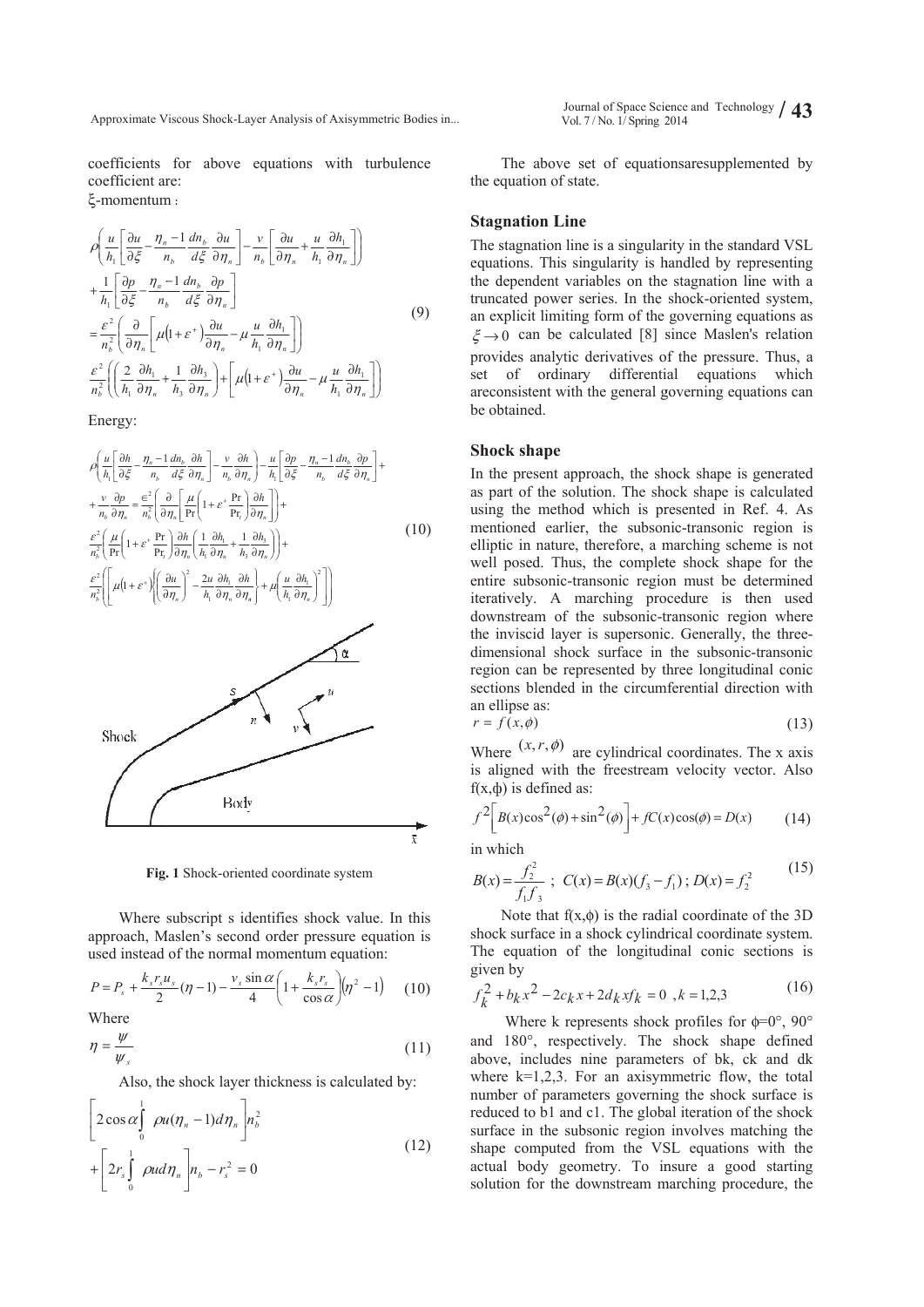Approximate Viscous Shock-Layer Analysis of Axisymmetric Bodies in...

coefficients for above equations with turbulence coefficient are: ξ-momentum :

#### $\left|\frac{\partial}{\partial n}\right| \mu$  $\mid$ © §  $\mid$  $\overline{\phantom{0}}$  $\left(\frac{2}{h_1}\frac{\partial h_1}{\partial \eta_n}+ \right)$  $\partial$ © §  $\overline{\phantom{a}}$ ª  $=\frac{\varepsilon^2}{n_h^2}\left(\frac{\partial}{\partial\eta}\right)$  $+\frac{1}{h_1}\left[\frac{\partial p}{\partial \xi} - \frac{\eta_n}{n_b}\right]$  $\mid$  $\overline{\phantom{0}}$ §  $\frac{\partial u}{\partial \xi} - \frac{\eta_n}{n}$  $\mathbf{b}$   $\mathbf{v}_1 \mathbf{v}_2 \mathbf{v}_n$  $\overline{n_b^2}$   $\left(\overline{\partial \eta_n}\right]$   $\mu$ *n n h*  $n_h^2$   $(h_1 \partial \eta)$ *p h u h*  $\rho\left(\frac{u}{h_1}\left[\frac{\partial u}{\partial \xi} - \frac{\eta_n - 1}{n_b}\frac{dn_b}{d\xi}\frac{\partial u}{\partial \eta_n}\right] - \right)$  $\mathcal{E}$ <sup>-</sup> || 2  $\sigma n_1$  $\mathcal E$  $\eta$  $_{1}\left\lfloor \partial \xi\right\rfloor$  $\frac{2}{b}$   $\left(\begin{array}{c} h_1 \end{array}\right)$  $\frac{2}{\pi^2} \left( \left( \frac{2}{h_1} \frac{\partial h_1}{\partial \eta_n} + \frac{1}{h_3} \frac{\partial h_3}{\partial \eta_n} \right) + \left[ \mu \right]$  $\frac{2}{\alpha^2} \left( \frac{\partial}{\partial \eta_{n}} \right) \mu \left( 1 + \varepsilon^+ \right) \frac{\partial u}{\partial \eta_{n}} \frac{1}{h_1}\left[\frac{\partial p}{\partial \xi} - \frac{\eta_n - 1}{n_b}\frac{dn_b}{d\xi}\frac{\partial p}{\partial \eta_n}\right]$  $\Bigg) +$ J ·  $\partial$  $\partial$ º  $\partial$  $\partial$ º  $\partial$  $-1$  dn<sub>b</sub>  $\partial$ *n n n b p n b b h*  $\overline{h_3} \overline{\partial \eta_n}$ <sup>+</sup> $\mu$  $\left(1+\varepsilon^+\right)\!\frac{\partial u}{\partial\eta_n} - \mu\,\frac{u}{h_1}\frac{\partial h_1}{\partial\eta_n}\bigg|\bigg)$ *d dn u d dn*  $\mathcal{E}$   $\partial \eta$  $^{\prime}$ ξ д $\eta$ 3 3  $\frac{1}{h_3} \frac{\partial h_3}{\partial \eta_n} + \mu (1 + \varepsilon^+) \frac{\partial u}{\partial \eta_n} -$ 1  $\left[\frac{1}{d\xi}\frac{dn_b}{\partial\eta_n}\right] - \frac{v}{n_b}$ J ·  $\overline{\phantom{a}}$ º  $\partial$  $\partial$ ª  $\partial$  $\frac{\partial u}{\partial \eta_n} + \frac{u}{h_1} \frac{\partial}{\partial \eta_n}$  $\partial$  $\int_{0}^{h} h$ *n*  $h \lfloor \partial \eta_n \rfloor$  *h*  $\left(1+\varepsilon^+\right)\!\frac{\partial u}{\partial\eta_n} - \mu\,\frac{u}{h_1}\frac{\partial h_1}{\partial\eta_n}\bigg| \bigg)$ *h h u u u n v*  $\eta$  $\left[\frac{\partial u}{\partial n_1} + \frac{u}{h_1} \frac{\partial n_1}{\partial n_2}\right]$ 1 1 ( 9) ¹ · » ¼  $\partial$  $\partial$ ¹ ·  $\overline{\phantom{a}}$  $\partial h_{\perp}$ *n n h h*  $\eta$  $\eta$ 1 1 1

Energy:

$$
\rho \left( \frac{u}{h_{1}} \left[ \frac{\partial h}{\partial \xi} - \frac{\eta_{n} - 1}{n_{b}} \frac{dn_{b}}{d\xi} \frac{\partial h}{\partial \eta_{n}} \right] - \frac{v}{n_{b}} \frac{\partial h}{\partial \eta_{n}} \right) - \frac{u}{h_{1}} \left[ \frac{\partial p}{\partial \xi} - \frac{\eta_{n} - 1}{n_{b}} \frac{dn_{b}}{d\xi} \frac{\partial p}{\partial \eta_{n}} \right] +
$$
\n
$$
+ \frac{v}{n_{b}} \frac{\partial p}{\partial \eta_{n}} = \frac{\epsilon^{2}}{n_{b}^{2}} \left( \frac{\partial}{\partial \eta_{n}} \left[ \frac{\mu}{\text{Pr}} \left( 1 + \varepsilon^{*} \frac{\text{Pr}}{\text{Pr}_{t}} \right) \frac{\partial h}{\partial \eta_{n}} \right] \right) +
$$
\n
$$
\frac{\varepsilon^{2}}{n_{b}^{2}} \left( \frac{\mu}{\text{Pr}} \left( 1 + \varepsilon^{*} \frac{\text{Pr}}{\text{Pr}_{t}} \right) \frac{\partial h}{\partial \eta_{n}} \left( \frac{1}{h_{1}} \frac{\partial h_{1}}{\partial \eta_{n}} + \frac{1}{h_{3}} \frac{\partial h_{3}}{\partial \eta_{n}} \right) \right) +
$$
\n
$$
\frac{\varepsilon^{2}}{n_{b}^{2}} \left[ \left( \mu (1 + \varepsilon^{*}) \left( \frac{\partial u}{\partial \eta_{n}} \right)^{2} - \frac{2u}{h_{1}} \frac{\partial h_{1}}{\partial \eta_{n}} \frac{\partial h}{\partial \eta_{n}} \right) + \mu \left( \frac{u}{h_{1}} \frac{\partial h_{1}}{\partial \eta_{n}} \right)^{2} \right]
$$
\n(10)



Fig. 1 Shock-oriented coordinate system

Where subscript s identifies shock value. In this approach, Maslen's second order pressure equation is used instead of the normal momentum equation:

$$
P = P_s + \frac{k_s r_s u_s}{2} (\eta - 1) - \frac{v_s \sin \alpha}{4} \left( 1 + \frac{k_s r_s}{\cos \alpha} \right) (\eta^2 - 1) \tag{10}
$$

Where

$$
\eta = \frac{\psi}{\psi_s} \tag{11}
$$

Also, the shock layer thickness is calculated by:

$$
\left[2\cos\alpha\int_{0}^{1}\rho u(\eta_{n}-1)d\eta_{n}\right]n_{b}^{2} + \left[2r_{s}\int_{0}^{1}\rho u d\eta_{n}\right]n_{b} - r_{s}^{2} = 0
$$
\n(12)

the equation of state. The above set of equationsaresupplemented by

#### **Stagnation Line**

The stagnation line is a singularity in the standard VSL equations. This singularity is handled by representing the dependent variables on the stagnation line with a truncated power series. In the shock-oriented system, an explicit limiting form of the governing equations as  $\xi \rightarrow 0$  can be calculated [8] since Maslen's relation provides analytic derivatives of the pressure. Thus, a set of ordinary differential equations which areconsistent with the general governing equations can be ob btained.

#### **Shock shape**

In the present approach, the shock shape is generated as part of the solution. The shock shape is calculated using the method which is presented in Ref. 4. As mentioned earlier, the subsonic-transonic region is elliptic in nature, therefore, a marching scheme is not well posed. Thus, the complete shock shape for the entire subsonic-transonic region must be determined iteratively. A marching procedure is then used downstream of the subsonic-transonic region where the inviscid layer is supersonic. Generally, the threedimensional shock surface in the subsonic-transonic region can be represented by three longitudinal conic sections blended in the circumferential direction with an el lipse as:

$$
r = f(x, \phi) \tag{13}
$$

Where  $(x, r, \phi)$  are cylindrical coordinates. The x axis is aligned with the freestream velocity vector. Also  $f(x, \phi)$  is defined as:

$$
f^{2}\left[B(x)\cos^{2}(\phi)+\sin^{2}(\phi)\right]+fC(x)\cos(\phi)=D(x) \qquad (14)
$$

in wh hich

$$
B(x) = \frac{f_2^2}{f_1 f_3} \, ; \, C(x) = B(x)(f_3 - f_1) \, ; \, D(x) = f_2^2 \tag{15}
$$

shock surface in a shock cylindrical coordinate system. The equation of the longitudinal conic sections is given by Note that  $f(x, \phi)$  is the radial coordinate of the 3D

$$
f_k^2 + b_k x^2 - 2c_k x + 2d_k x f_k = 0 \quad , k = 1, 2, 3 \tag{16}
$$

and 180°, respectively. The shock shape defined above, includes nine parameters of bk, ck and dk where  $k=1,2,3$ . For an axisymmetric flow, the total number of parameters governing the shock surface is reduced to b1 and c1. The global iteration of the shock surface in the subsonic region involves matching the shape computed from the VSL equations with the actual body geometry. To insure a good starting solution for the downstream marching procedure, the Where k represents shock profiles for  $\phi=0^\circ$ , 90 $^\circ$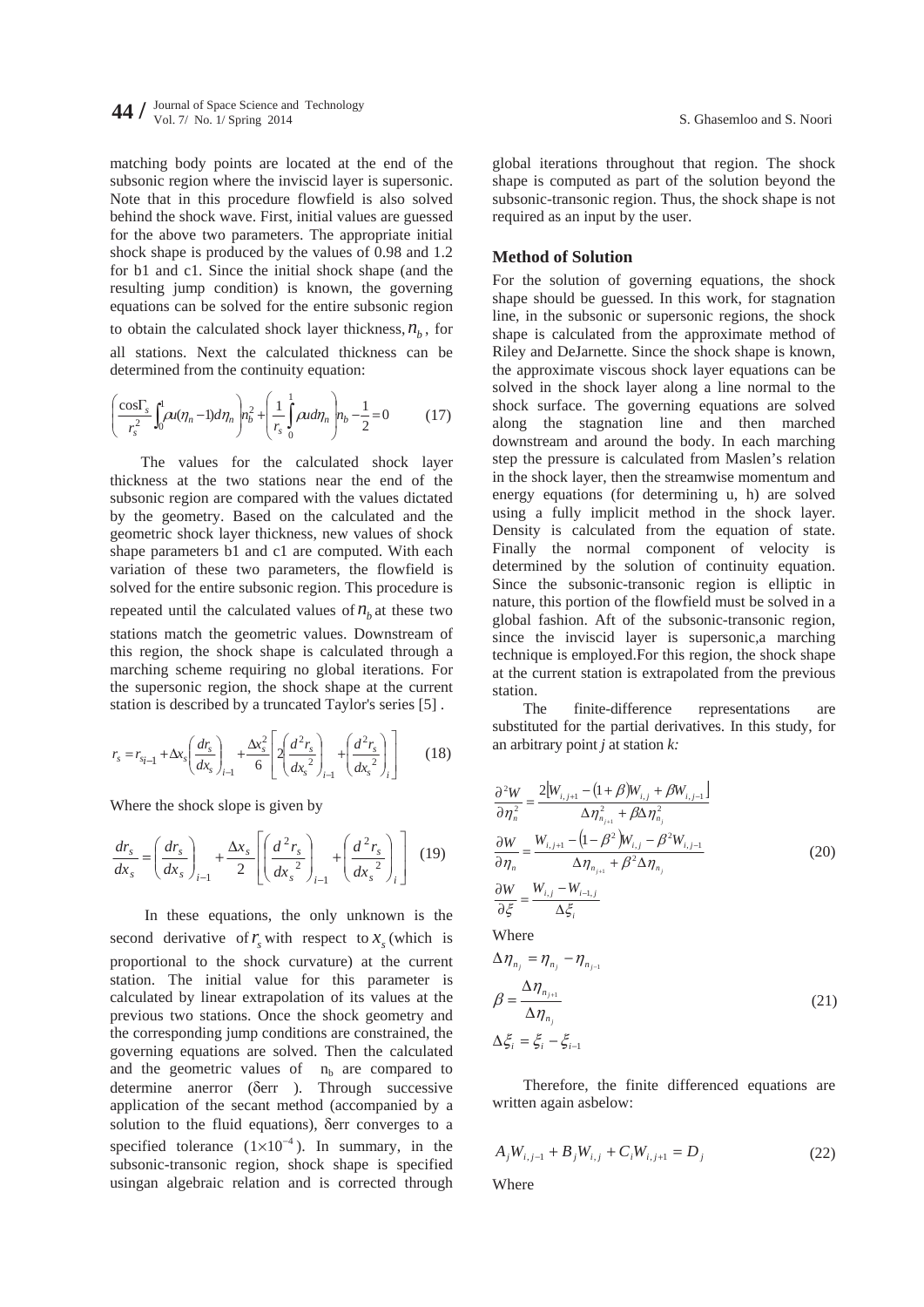matching body points are located at the end of the subsonic region where the inviscid layer is supersonic. Note that in this procedure flowfield is also solved behind the shock wave. First, initial values are guessed for the above two parameters. The appropriate initial shock shape is produced by the values of 0.98 and 1.2 for b1 and c1. Since the initial shock shape (and the resulting jump condition) is known, the governing equations can be solved for the entire subsonic region to obtain the calculated shock layer thickness,  $n<sub>b</sub>$ , for all stations. Next the calculated thickness can be determined from the continuity equation:

$$
\left(\frac{\cos\Gamma_s}{r_s^2}\int_0^1 \rho u(\eta_n - 1)d\eta_n\right) n_b^2 + \left(\frac{1}{r_s}\int_0^1 \rho u d\eta_n\right) n_b - \frac{1}{2} = 0 \tag{17}
$$

The values for the calculated shock layer thickness at the two stations near the end of the subsonic region are compared with the values dictated by the geometry. Based on the calculated and the geometric shock layer thickness, new values of shock shape parameters b1 and c1 are computed. With each variation of these two parameters, the flowfield is solved for the entire subsonic region. This procedure is repeated until the calculated values of  $n<sub>b</sub>$  at these two stations match the geometric values. Downstream of this region, the shock shape is calculated through a marching scheme requiring no global iterations. For the supersonic region, the shock shape at the current station is described by a truncated Taylor's series [5] .

$$
r_s = r_{s_i-1} + \Delta x_s \left(\frac{dr_s}{dx_s}\right)_{i-1} + \frac{\Delta x_s^2}{6} \left[2\left(\frac{d^2r_s}{dx_s^2}\right)_{i-1} + \left(\frac{d^2r_s}{dx_s^2}\right)_{i}\right] \tag{18}
$$

Where the shock slope is given by

$$
\frac{dr_s}{dx_s} = \left(\frac{dr_s}{dx_s}\right)_{i-1} + \frac{\Delta x_s}{2} \left[ \left(\frac{d^2r_s}{dx_s^2}\right)_{i-1} + \left(\frac{d^2r_s}{dx_s^2}\right)_{i} \right] \tag{19}
$$

 In these equations, the only unknown is the second derivative of  $r<sub>s</sub>$  with respect to  $x<sub>s</sub>$  (which is proportional to the shock curvature) at the current station. The initial value for this parameter is calculated by linear extrapolation of its values at the previous two stations. Once the shock geometry and the corresponding jump conditions are constrained, the governing equations are solved. Then the calculated and the geometric values of  $n<sub>b</sub>$  are compared to determine anerror (Gerr ). Through successive application of the secant method (accompanied by a solution to the fluid equations), Gerr converges to a specified tolerance  $(1 \times 10^{-4})$ . In summary, in the subsonic-transonic region, shock shape is specified usingan algebraic relation and is corrected through global iterations throughout that region. The shock shape is computed as part of the solution beyond the subsonic-transonic region. Thus, the shock shape is not required as an input by the user.

#### **Method of Solution**

For the solution of governing equations, the shock shape should be guessed. In this work, for stagnation line, in the subsonic or supersonic regions, the shock shape is calculated from the approximate method of Riley and DeJarnette. Since the shock shape is known, the approximate viscous shock layer equations can be solved in the shock layer along a line normal to the shock surface. The governing equations are solved along the stagnation line and then marched downstream and around the body. In each marching step the pressure is calculated from Maslen's relation in the shock layer, then the streamwise momentum and energy equations (for determining u, h) are solved using a fully implicit method in the shock layer. Density is calculated from the equation of state. Finally the normal component of velocity is determined by the solution of continuity equation. Since the subsonic-transonic region is elliptic in nature, this portion of the flowfield must be solved in a global fashion. Aft of the subsonic-transonic region, since the inviscid layer is supersonic,a marching technique is employed.For this region, the shock shape at the current station is extrapolated from the previous station.

The finite-difference representations are substituted for the partial derivatives. In this study, for an arbitrary point *j* at station *k:*

$$
\frac{\partial^2 W}{\partial \eta_n^2} = \frac{2[W_{i,j+1} - (1 + \beta)W_{i,j} + \beta W_{i,j-1}]}{\Delta \eta_{n_{j+1}}^2 + \beta \Delta \eta_{n_j}^2}
$$
  
\n
$$
\frac{\partial W}{\partial \eta_n} = \frac{W_{i,j+1} - (1 - \beta^2)W_{i,j} - \beta^2 W_{i,j-1}}{\Delta \eta_{n_{j+1}} + \beta^2 \Delta \eta_{n_j}}
$$
  
\n
$$
\frac{\partial W}{\partial \xi} = \frac{W_{i,j} - W_{i-1,j}}{\Delta \xi_i}
$$
  
\nWhere  
\n
$$
\Delta \eta_{n_j} = \eta_{n_j} - \eta_{n_{j-1}}
$$
  
\n
$$
\beta = \frac{\Delta \eta_{n_{j+1}}}{\Delta \eta_{n_j}}
$$
\n(21)

Therefore, the finite differenced equations are written again asbelow:

$$
A_j W_{i,j-1} + B_j W_{i,j} + C_i W_{i,j+1} = D_j
$$
 (22)

Where

 $\Delta \xi_i = \xi_i - \xi_{i-1}$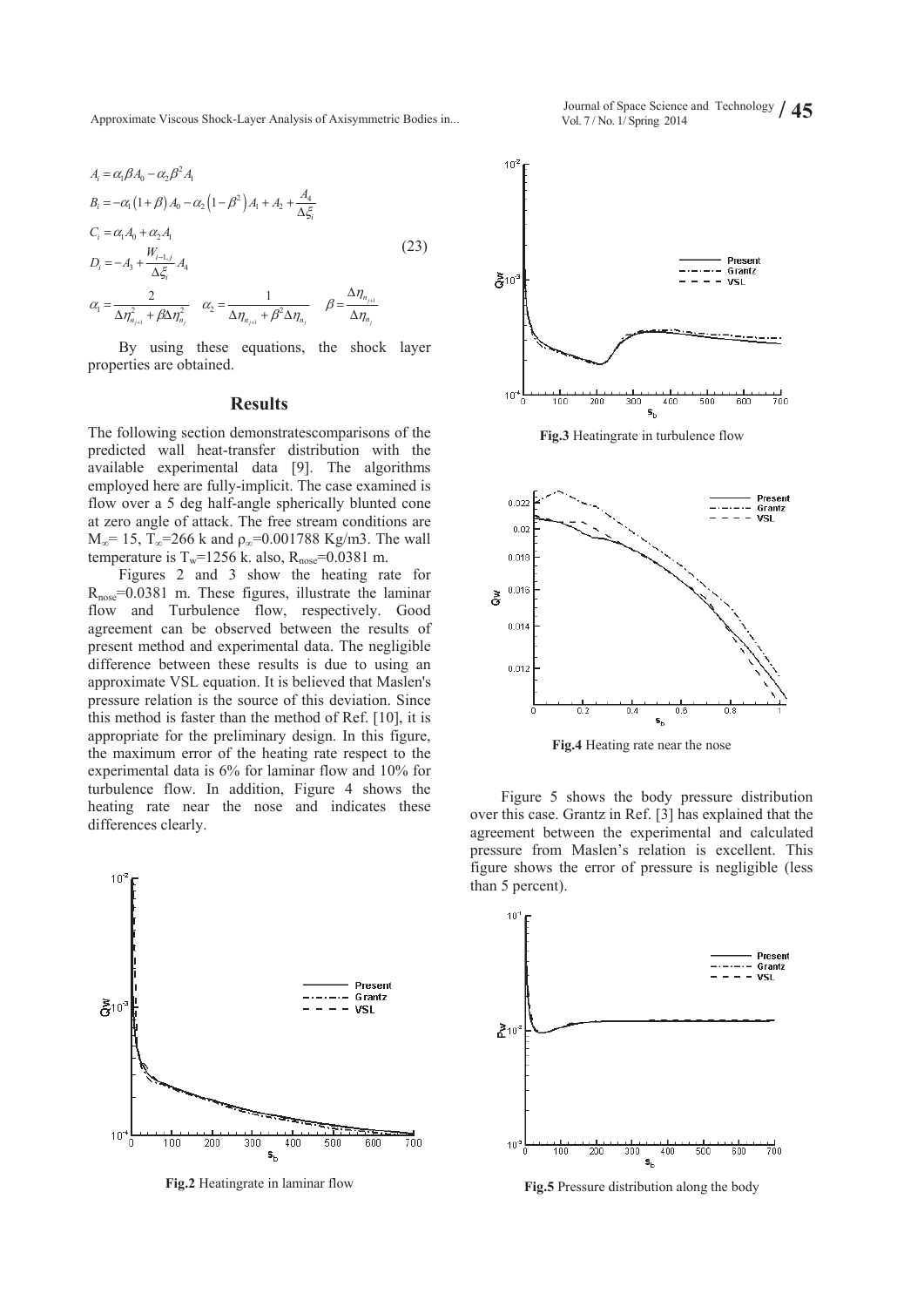Approximate Viscous Shock-Layer Analysis of Axisymmetric Bodies in... Vol. 7/No. 1/ Spring 2014

$$
A_{i} = \alpha_{1} \beta A_{0} - \alpha_{2} \beta^{2} A_{1}
$$
\n
$$
B_{i} = -\alpha_{1} (1 + \beta) A_{0} - \alpha_{2} (1 - \beta^{2}) A_{1} + A_{2} + \frac{A_{4}}{\Delta \xi_{i}}
$$
\n
$$
C_{i} = \alpha_{1} A_{0} + \alpha_{2} A_{1}
$$
\n
$$
D_{i} = -A_{3} + \frac{W_{i-1,j}}{\Delta \xi_{i}} A_{4}
$$
\n
$$
\alpha_{1} = \frac{2}{\Delta \eta_{n_{j+1}}^{2} + \beta \Delta \eta_{n_{j}}^{2}} \quad \alpha_{2} = \frac{1}{\Delta \eta_{n_{j+1}} + \beta^{2} \Delta \eta_{n_{j}}} \quad \beta = \frac{\Delta \eta_{n_{j+1}}}{\Delta \eta_{n_{j}}}
$$
\n(23)

By using these equations, the shock layer properties are obtained.

#### **Results**

The following section demonstratescomparisons of the predicted wall heat-transfer distribution with the available experimental data [9]. The algorithms employed here are fully-implicit. The case examined is flow over a 5 deg half-angle spherically blunted cone at zero angle of attack. The free stream conditions are  $M_{\odot}$  = 15, T<sub>o</sub>=266 k and  $\rho_{\odot}$ =0.001788 Kg/m3. The wall temperature is  $T_w$ =1256 k. also,  $R_{\text{nose}}$ =0.0381 m.

Figures 2 and 3 show the heating rate for  $R_{\text{nose}}$ =0.0381 m. These figures, illustrate the laminar flow and Turbulence flow, respectively. Good agreement can be observed between the results of present method and experimental data. The negligible difference between these results is due to using an approximate VSL equation. It is believed that Maslen's pressure relation is the source of this deviation. Since this method is faster than the method of Ref. [10], it is appropriate for the preliminary design. In this figure, the maximum error of the heating rate respect to the experimental data is 6% for laminar flow and 10% for turbulence flow. In addition, Figure 4 shows the heating rate near the nose and indicates these differences clearly.



**Fig.2** Heatingrate in laminar flow



**Fig.4** Heating rate near the nose

Figure 5 shows the body pressure distribution over this case. Grantz in Ref. [3] has explained that the agreement between the experimental and calculated pressure from Maslen's relation is excellent. This figure shows the error of pressure is negligible (less than 5 percent).



**Fig.5** Pressure distribution along the body

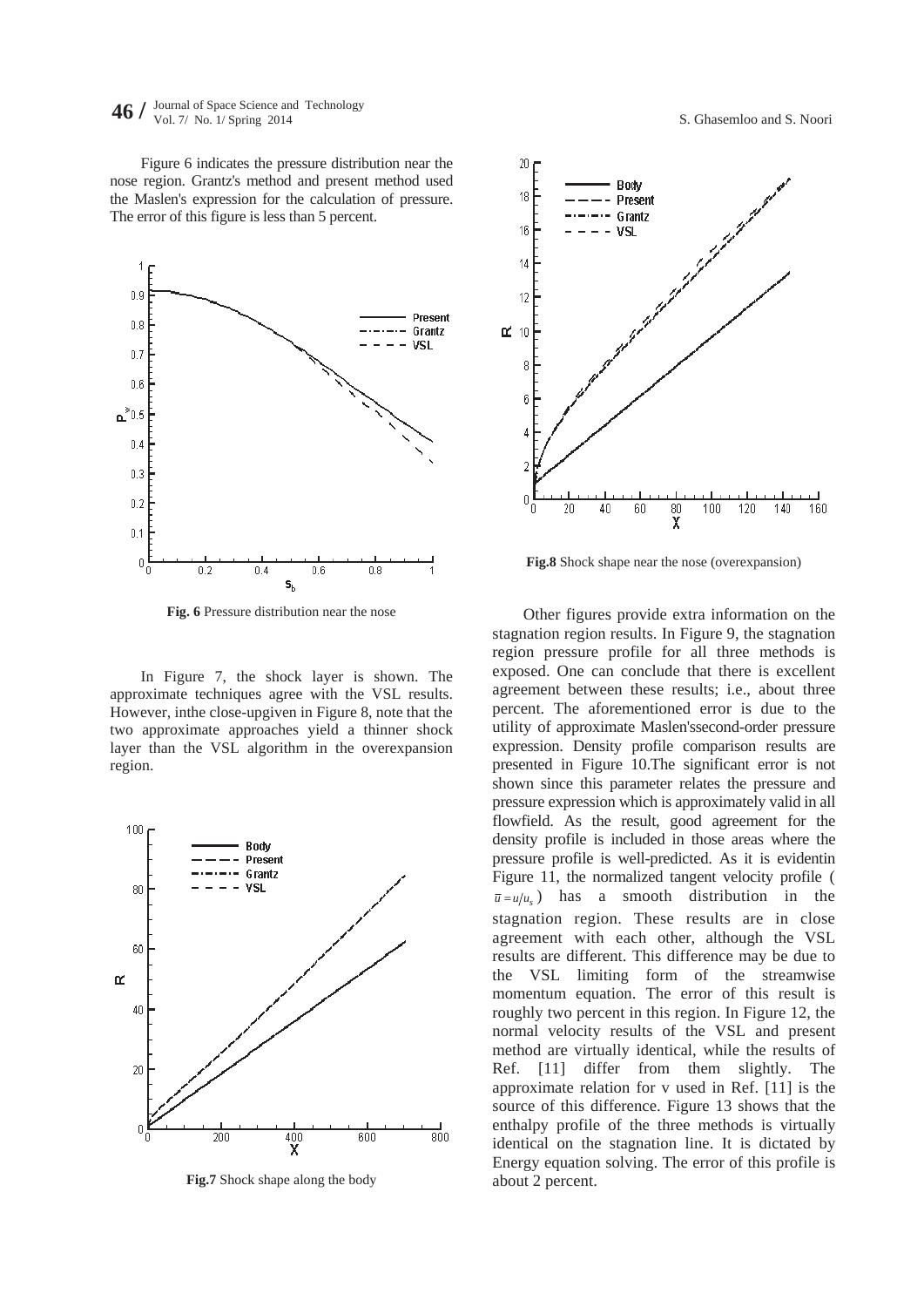**46** *J* Journal of Space Science and Technology **61.** *S.* **Ghasemloo and S. Nooris 10. 1/ No. 1/ Spring 2014 <b>***S.* Ghasemloo and S. Nooris 10. *S.* Ghasemloo and S. Nooris 10. *S.* Ghasemloo and S. Nooris 10. *S.* 

Figure 6 indicates the pressure distribution near the nose region. Grantz's method and present method used the Maslen's expression for the calculation of pressure. The error of this figure is less than 5 percent.



**Fig. 6** Pressure distribution near the nose

In Figure 7, the shock layer is shown. The approximate techniques agree with the VSL results. However, inthe close-upgiven in Figure 8, note that the two approximate approaches yield a thinner shock layer than the VSL algorithm in the overexpansion region.



**Fig.7** Shock shape along the body



**Fig.8** Shock shape near the nose (overexpansion)

Other figures provide extra information on the stagnation region results. In Figure 9, the stagnation region pressure profile for all three methods is exposed. One can conclude that there is excellent agreement between these results; i.e., about three percent. The aforementioned error is due to the utility of approximate Maslen'ssecond-order pressure expression. Density profile comparison results are presented in Figure 10.The significant error is not shown since this parameter relates the pressure and pressure expression which is approximately valid in all flowfield. As the result, good agreement for the density profile is included in those areas where the pressure profile is well-predicted. As it is evidentin Figure 11, the normalized tangent velocity profile (  $\bar{u} = u/u_s$  has a smooth distribution in the stagnation region. These results are in close agreement with each other, although the VSL results are different. This difference may be due to the VSL limiting form of the streamwise momentum equation. The error of this result is roughly two percent in this region. In Figure 12, the normal velocity results of the VSL and present method are virtually identical, while the results of Ref. [11] differ from them slightly. The approximate relation for v used in Ref. [11] is the source of this difference. Figure 13 shows that the enthalpy profile of the three methods is virtually identical on the stagnation line. It is dictated by Energy equation solving. The error of this profile is about 2 percent.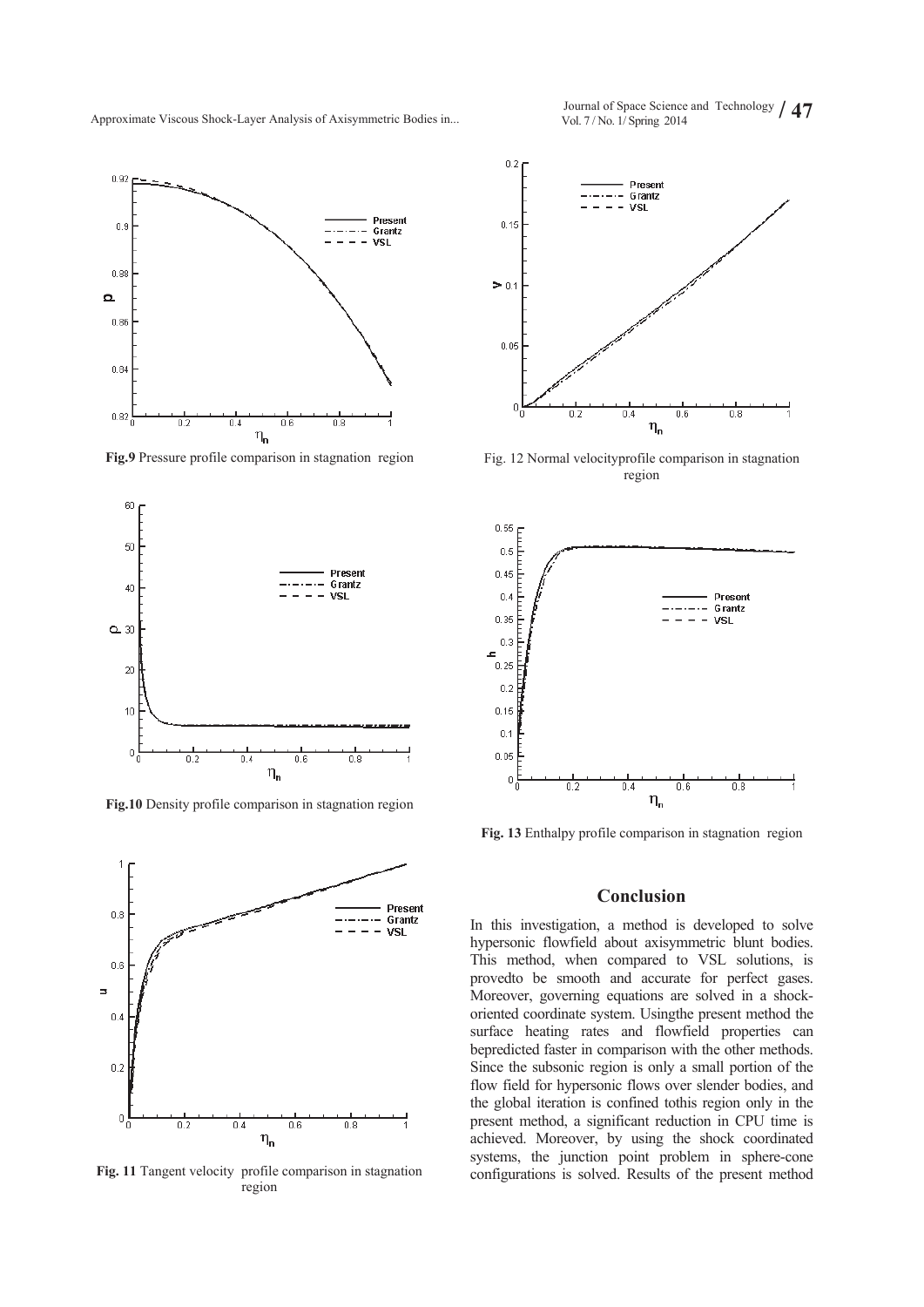Approximate Viscous Shock-Layer Analysis of Axisymmetric Bodies in... Vol. 7/No. 1/ Spring 2014



**Fig.9** Pressure profile comparison in stagnation region



**Fig.10** Density profile comparison in stagnation region



**Fig. 11** Tangent velocity profile comparison in stagnation region

 $0.2$ **Present** Grantz  $\overline{\phantom{a}}$  $\overline{a}$ **MSL**  $0.15$  $\geq 0$ 



Fig. 12 Normal velocityprofile comparison in stagnation region

 $\eta_{\mathbf{n}}$ 

 $\overline{0.6}$ 

 $\overline{0.8}$ 

 $\overline{0.4}$ 

 $0.05$ 

 $\sqrt{ }$ 

 $\overline{0}$ 

**Fig. 13** Enthalpy profile comparison in stagnation region

#### **Conclusion**

In this investigation, a method is developed to solve hypersonic flowfield about axisymmetric blunt bodies. This method, when compared to VSL solutions, is provedto be smooth and accurate for perfect gases. Moreover, governing equations are solved in a shockoriented coordinate system. Usingthe present method the surface heating rates and flowfield properties can bepredicted faster in comparison with the other methods. Since the subsonic region is only a small portion of the flow field for hypersonic flows over slender bodies, and the global iteration is confined tothis region only in the present method, a significant reduction in CPU time is achieved. Moreover, by using the shock coordinated systems, the junction point problem in sphere-cone configurations is solved. Results of the present method

Journal of Space Science and Technology / 47